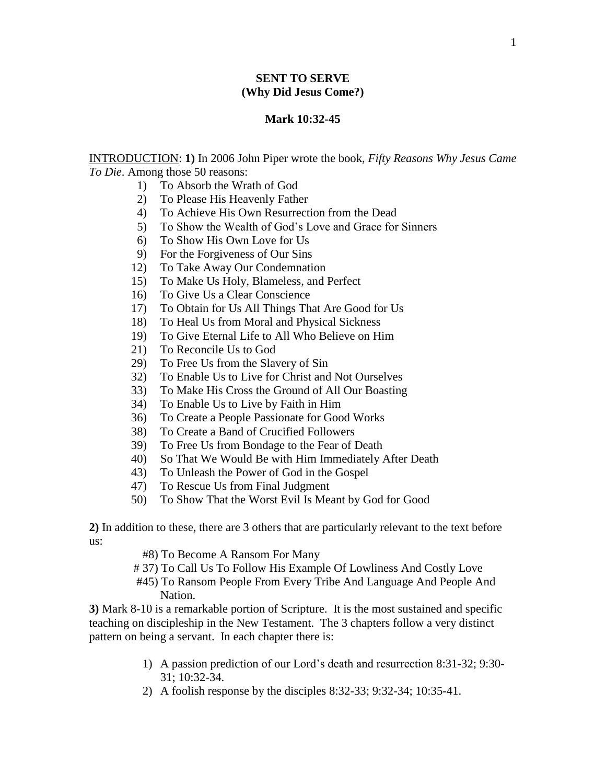### **SENT TO SERVE (Why Did Jesus Come?)**

#### **Mark 10:32-45**

INTRODUCTION: **1)** In 2006 John Piper wrote the book, *Fifty Reasons Why Jesus Came To Die*. Among those 50 reasons:

- 1) To Absorb the Wrath of God
- 2) To Please His Heavenly Father
- 4) To Achieve His Own Resurrection from the Dead
- 5) To Show the Wealth of God's Love and Grace for Sinners
- 6) To Show His Own Love for Us
- 9) For the Forgiveness of Our Sins
- 12) To Take Away Our Condemnation
- 15) To Make Us Holy, Blameless, and Perfect
- 16) To Give Us a Clear Conscience
- 17) To Obtain for Us All Things That Are Good for Us
- 18) To Heal Us from Moral and Physical Sickness
- 19) To Give Eternal Life to All Who Believe on Him
- 21) To Reconcile Us to God
- 29) To Free Us from the Slavery of Sin
- 32) To Enable Us to Live for Christ and Not Ourselves
- 33) To Make His Cross the Ground of All Our Boasting
- 34) To Enable Us to Live by Faith in Him
- 36) To Create a People Passionate for Good Works
- 38) To Create a Band of Crucified Followers
- 39) To Free Us from Bondage to the Fear of Death
- 40) So That We Would Be with Him Immediately After Death
- 43) To Unleash the Power of God in the Gospel
- 47) To Rescue Us from Final Judgment
- 50) To Show That the Worst Evil Is Meant by God for Good

**2)** In addition to these, there are 3 others that are particularly relevant to the text before us:

#8) To Become A Ransom For Many

# 37) To Call Us To Follow His Example Of Lowliness And Costly Love

 #45) To Ransom People From Every Tribe And Language And People And Nation.

**3)** Mark 8-10 is a remarkable portion of Scripture. It is the most sustained and specific teaching on discipleship in the New Testament. The 3 chapters follow a very distinct pattern on being a servant. In each chapter there is:

- 1) A passion prediction of our Lord's death and resurrection 8:31-32; 9:30- 31; 10:32-34.
- 2) A foolish response by the disciples 8:32-33; 9:32-34; 10:35-41.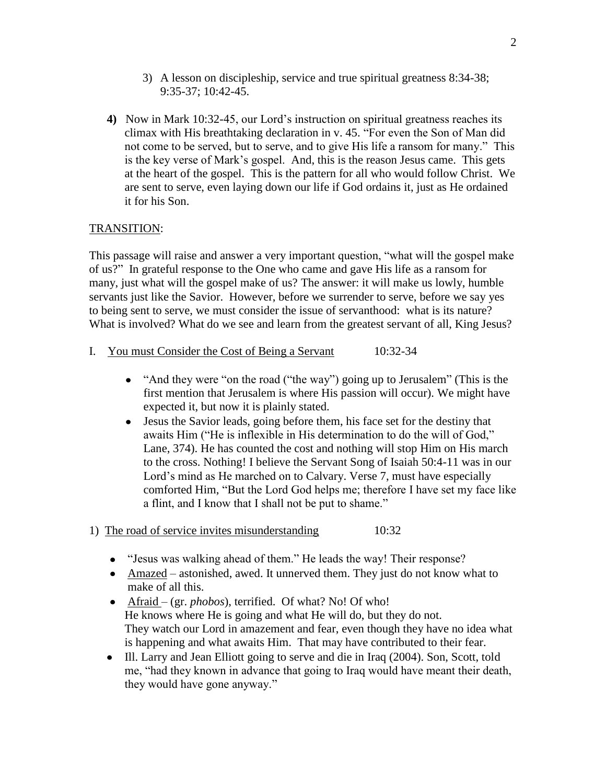- 3) A lesson on discipleship, service and true spiritual greatness 8:34-38; 9:35-37; 10:42-45.
- **4)** Now in Mark 10:32-45, our Lord's instruction on spiritual greatness reaches its climax with His breathtaking declaration in v. 45. "For even the Son of Man did not come to be served, but to serve, and to give His life a ransom for many." This is the key verse of Mark's gospel. And, this is the reason Jesus came. This gets at the heart of the gospel. This is the pattern for all who would follow Christ. We are sent to serve, even laying down our life if God ordains it, just as He ordained it for his Son.

# TRANSITION:

This passage will raise and answer a very important question, "what will the gospel make of us?" In grateful response to the One who came and gave His life as a ransom for many, just what will the gospel make of us? The answer: it will make us lowly, humble servants just like the Savior. However, before we surrender to serve, before we say yes to being sent to serve, we must consider the issue of servanthood: what is its nature? What is involved? What do we see and learn from the greatest servant of all, King Jesus?

- I. You must Consider the Cost of Being a Servant 10:32-34
	- "And they were "on the road ("the way") going up to Jerusalem" (This is the first mention that Jerusalem is where His passion will occur). We might have expected it, but now it is plainly stated.
	- Jesus the Savior leads, going before them, his face set for the destiny that awaits Him ("He is inflexible in His determination to do the will of God," Lane, 374). He has counted the cost and nothing will stop Him on His march to the cross. Nothing! I believe the Servant Song of Isaiah 50:4-11 was in our Lord's mind as He marched on to Calvary. Verse 7, must have especially comforted Him, "But the Lord God helps me; therefore I have set my face like a flint, and I know that I shall not be put to shame."
- 1) The road of service invites misunderstanding 10:32
	- "Jesus was walking ahead of them." He leads the way! Their response?
	- Amazed astonished, awed. It unnerved them. They just do not know what to make of all this.
	- Afraid (gr. *phobos*), terrified. Of what? No! Of who! He knows where He is going and what He will do, but they do not. They watch our Lord in amazement and fear, even though they have no idea what is happening and what awaits Him. That may have contributed to their fear.
	- Ill. Larry and Jean Elliott going to serve and die in Iraq (2004). Son, Scott, told me, "had they known in advance that going to Iraq would have meant their death, they would have gone anyway."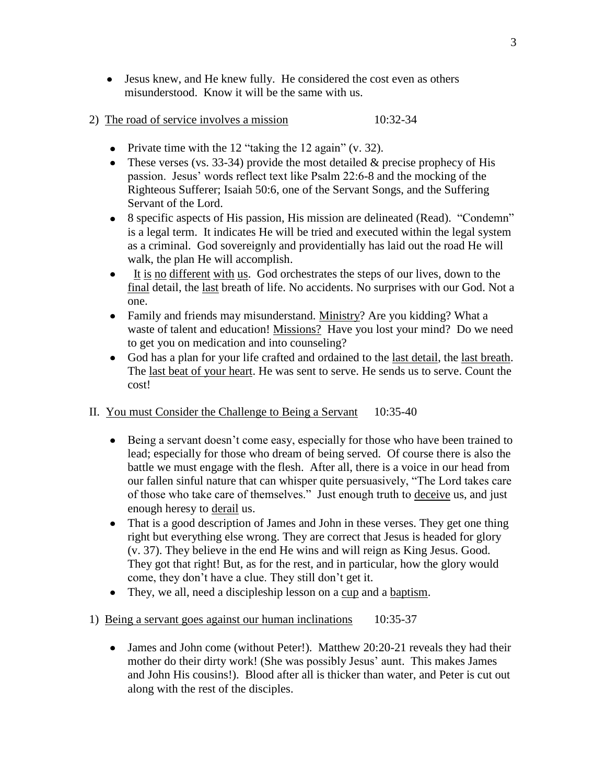- Jesus knew, and He knew fully. He considered the cost even as others misunderstood. Know it will be the same with us.
- 2) The road of service involves a mission 10:32-34
	- Private time with the 12 "taking the 12 again"  $(v. 32)$ .
	- These verses (vs. 33-34) provide the most detailed  $\&$  precise prophecy of His passion. Jesus' words reflect text like Psalm 22:6-8 and the mocking of the Righteous Sufferer; Isaiah 50:6, one of the Servant Songs, and the Suffering Servant of the Lord.
	- 8 specific aspects of His passion, His mission are delineated (Read). "Condemn" is a legal term. It indicates He will be tried and executed within the legal system as a criminal. God sovereignly and providentially has laid out the road He will walk, the plan He will accomplish.
	- It is no different with us. God orchestrates the steps of our lives, down to the  $\bullet$ final detail, the last breath of life. No accidents. No surprises with our God. Not a one.
	- Family and friends may misunderstand. Ministry? Are you kidding? What a waste of talent and education! Missions? Have you lost your mind? Do we need to get you on medication and into counseling?
	- God has a plan for your life crafted and ordained to the last detail, the last breath. The last beat of your heart. He was sent to serve. He sends us to serve. Count the cost!

## II. You must Consider the Challenge to Being a Servant 10:35-40

- Being a servant doesn't come easy, especially for those who have been trained to lead; especially for those who dream of being served. Of course there is also the battle we must engage with the flesh. After all, there is a voice in our head from our fallen sinful nature that can whisper quite persuasively, "The Lord takes care of those who take care of themselves." Just enough truth to deceive us, and just enough heresy to derail us.
- $\bullet$ That is a good description of James and John in these verses. They get one thing right but everything else wrong. They are correct that Jesus is headed for glory (v. 37). They believe in the end He wins and will reign as King Jesus. Good. They got that right! But, as for the rest, and in particular, how the glory would come, they don't have a clue. They still don't get it.
- They, we all, need a discipleship lesson on a cup and a baptism.
- 1) Being a servant goes against our human inclinations 10:35-37
	- James and John come (without Peter!). Matthew 20:20-21 reveals they had their mother do their dirty work! (She was possibly Jesus' aunt. This makes James and John His cousins!). Blood after all is thicker than water, and Peter is cut out along with the rest of the disciples.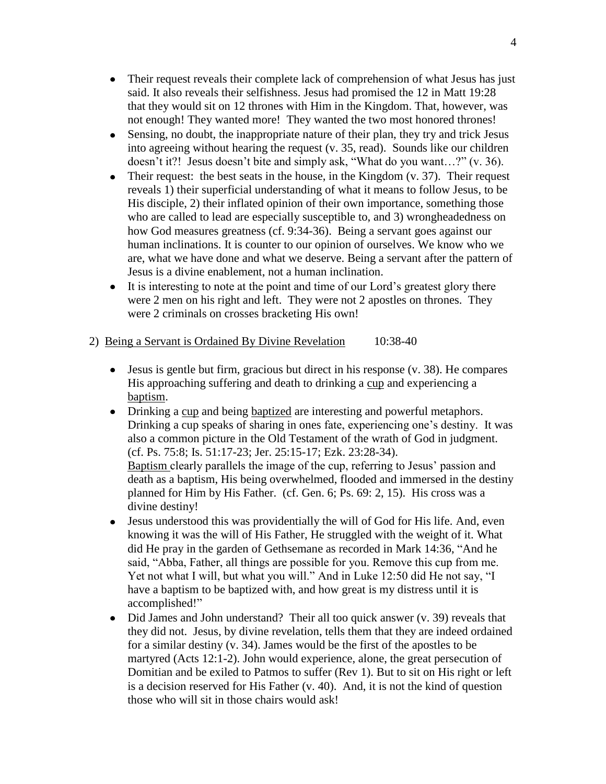- Their request reveals their complete lack of comprehension of what Jesus has just  $\bullet$ said. It also reveals their selfishness. Jesus had promised the 12 in Matt 19:28 that they would sit on 12 thrones with Him in the Kingdom. That, however, was not enough! They wanted more! They wanted the two most honored thrones!
- Sensing, no doubt, the inappropriate nature of their plan, they try and trick Jesus  $\bullet$ into agreeing without hearing the request (v. 35, read). Sounds like our children doesn't it?! Jesus doesn't bite and simply ask, "What do you want…?" (v. 36).
- Their request: the best seats in the house, in the Kingdom (v. 37). Their request  $\bullet$ reveals 1) their superficial understanding of what it means to follow Jesus, to be His disciple, 2) their inflated opinion of their own importance, something those who are called to lead are especially susceptible to, and 3) wrongheadedness on how God measures greatness (cf. 9:34-36). Being a servant goes against our human inclinations. It is counter to our opinion of ourselves. We know who we are, what we have done and what we deserve. Being a servant after the pattern of Jesus is a divine enablement, not a human inclination.
- It is interesting to note at the point and time of our Lord's greatest glory there were 2 men on his right and left. They were not 2 apostles on thrones. They were 2 criminals on crosses bracketing His own!
- 2) Being a Servant is Ordained By Divine Revelation 10:38-40
	- $\bullet$  Jesus is gentle but firm, gracious but direct in his response (v. 38). He compares His approaching suffering and death to drinking a cup and experiencing a baptism.
	- Drinking a cup and being baptized are interesting and powerful metaphors. Drinking a cup speaks of sharing in ones fate, experiencing one's destiny. It was also a common picture in the Old Testament of the wrath of God in judgment. (cf. Ps. 75:8; Is. 51:17-23; Jer. 25:15-17; Ezk. 23:28-34). Baptism clearly parallels the image of the cup, referring to Jesus' passion and death as a baptism, His being overwhelmed, flooded and immersed in the destiny planned for Him by His Father. (cf. Gen. 6; Ps. 69: 2, 15). His cross was a divine destiny!
	- Jesus understood this was providentially the will of God for His life. And, even  $\bullet$ knowing it was the will of His Father, He struggled with the weight of it. What did He pray in the garden of Gethsemane as recorded in Mark 14:36, "And he said, "Abba, Father, all things are possible for you. Remove this cup from me. Yet not what I will, but what you will." And in Luke 12:50 did He not say, "I have a baptism to be baptized with, and how great is my distress until it is accomplished!"
	- Did James and John understand? Their all too quick answer (v. 39) reveals that  $\bullet$ they did not. Jesus, by divine revelation, tells them that they are indeed ordained for a similar destiny (v. 34). James would be the first of the apostles to be martyred (Acts 12:1-2). John would experience, alone, the great persecution of Domitian and be exiled to Patmos to suffer (Rev 1). But to sit on His right or left is a decision reserved for His Father (v. 40). And, it is not the kind of question those who will sit in those chairs would ask!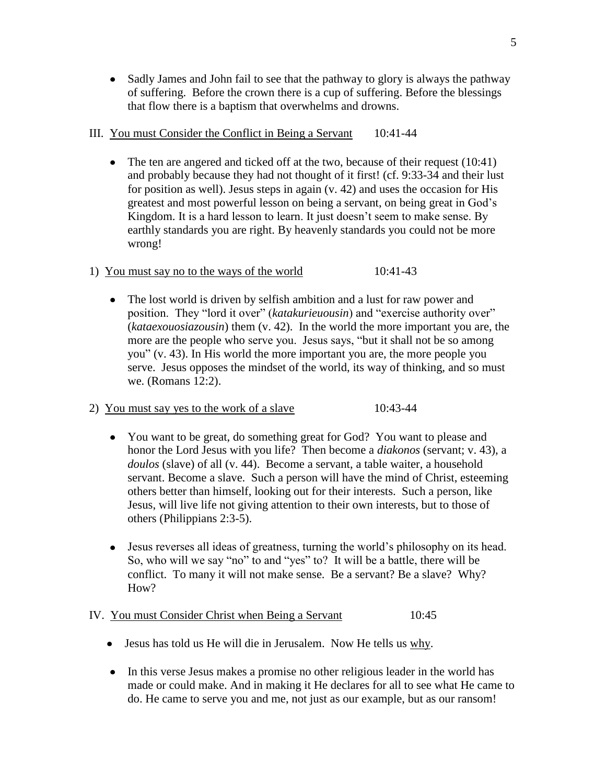$\bullet$ Sadly James and John fail to see that the pathway to glory is always the pathway of suffering. Before the crown there is a cup of suffering. Before the blessings that flow there is a baptism that overwhelms and drowns.

# III. You must Consider the Conflict in Being a Servant 10:41-44

- $\bullet$  The ten are angered and ticked off at the two, because of their request (10:41) and probably because they had not thought of it first! (cf. 9:33-34 and their lust for position as well). Jesus steps in again (v. 42) and uses the occasion for His greatest and most powerful lesson on being a servant, on being great in God's Kingdom. It is a hard lesson to learn. It just doesn't seem to make sense. By earthly standards you are right. By heavenly standards you could not be more wrong!
- 1) You must say no to the ways of the world 10:41-43
	- The lost world is driven by selfish ambition and a lust for raw power and  $\bullet$ position. They "lord it over" (*katakurieuousin*) and "exercise authority over" (*kataexouosiazousin*) them (v. 42). In the world the more important you are, the more are the people who serve you. Jesus says, "but it shall not be so among you" (v. 43). In His world the more important you are, the more people you serve. Jesus opposes the mindset of the world, its way of thinking, and so must we. (Romans 12:2).
- 2) You must say yes to the work of a slave 10:43-44
	- $\bullet$ You want to be great, do something great for God? You want to please and honor the Lord Jesus with you life? Then become a *diakonos* (servant; v. 43), a *doulos* (slave) of all (v. 44). Become a servant, a table waiter, a household servant. Become a slave. Such a person will have the mind of Christ, esteeming others better than himself, looking out for their interests. Such a person, like Jesus, will live life not giving attention to their own interests, but to those of others (Philippians 2:3-5).
	- Jesus reverses all ideas of greatness, turning the world's philosophy on its head. So, who will we say "no" to and "yes" to? It will be a battle, there will be conflict. To many it will not make sense. Be a servant? Be a slave? Why? How?

# IV. You must Consider Christ when Being a Servant 10:45

- Jesus has told us He will die in Jerusalem. Now He tells us why.
- In this verse Jesus makes a promise no other religious leader in the world has made or could make. And in making it He declares for all to see what He came to do. He came to serve you and me, not just as our example, but as our ransom!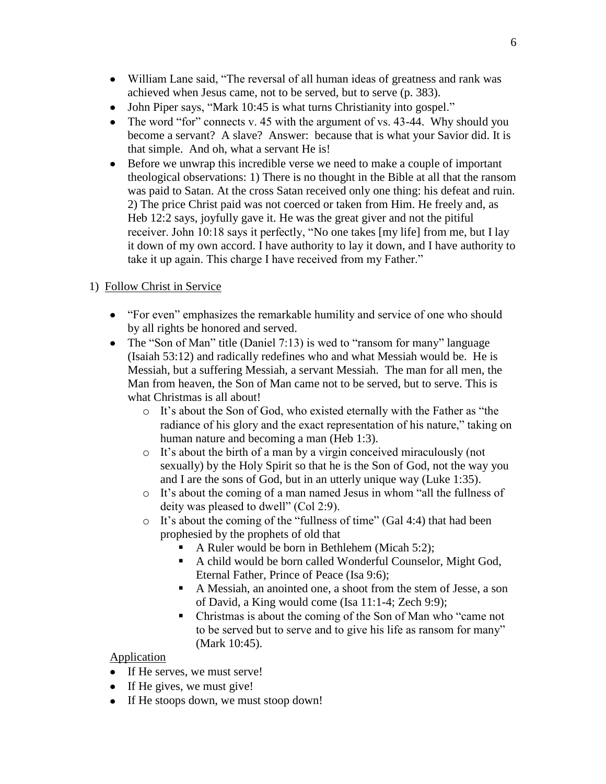- William Lane said, "The reversal of all human ideas of greatness and rank was achieved when Jesus came, not to be served, but to serve (p. 383).
- John Piper says, "Mark 10:45 is what turns Christianity into gospel."  $\bullet$
- $\bullet$ The word "for" connects v. 45 with the argument of vs. 43-44. Why should you become a servant? A slave? Answer: because that is what your Savior did. It is that simple. And oh, what a servant He is!
- Before we unwrap this incredible verse we need to make a couple of important theological observations: 1) There is no thought in the Bible at all that the ransom was paid to Satan. At the cross Satan received only one thing: his defeat and ruin. 2) The price Christ paid was not coerced or taken from Him. He freely and, as Heb 12:2 says, joyfully gave it. He was the great giver and not the pitiful receiver. John 10:18 says it perfectly, "No one takes [my life] from me, but I lay it down of my own accord. I have authority to lay it down, and I have authority to take it up again. This charge I have received from my Father."

# 1) Follow Christ in Service

- "For even" emphasizes the remarkable humility and service of one who should by all rights be honored and served.
- The "Son of Man" title (Daniel 7:13) is wed to "ransom for many" language (Isaiah 53:12) and radically redefines who and what Messiah would be. He is Messiah, but a suffering Messiah, a servant Messiah. The man for all men, the Man from heaven, the Son of Man came not to be served, but to serve. This is what Christmas is all about!
	- o It's about the Son of God, who existed eternally with the Father as "the radiance of his glory and the exact representation of his nature," taking on human nature and becoming a man (Heb 1:3).
	- o It's about the birth of a man by a virgin conceived miraculously (not sexually) by the Holy Spirit so that he is the Son of God, not the way you and I are the sons of God, but in an utterly unique way (Luke 1:35).
	- o It's about the coming of a man named Jesus in whom "all the fullness of deity was pleased to dwell" (Col 2:9).
	- o It's about the coming of the "fullness of time" (Gal 4:4) that had been prophesied by the prophets of old that
		- A Ruler would be born in Bethlehem (Micah 5:2);
		- A child would be born called Wonderful Counselor, Might God, Eternal Father, Prince of Peace (Isa 9:6);
		- A Messiah, an anointed one, a shoot from the stem of Jesse, a son of David, a King would come (Isa 11:1-4; Zech 9:9);
		- Christmas is about the coming of the Son of Man who "came not to be served but to serve and to give his life as ransom for many" (Mark 10:45).

## Application

- If He serves, we must serve!
- If He gives, we must give!
- If He stoops down, we must stoop down!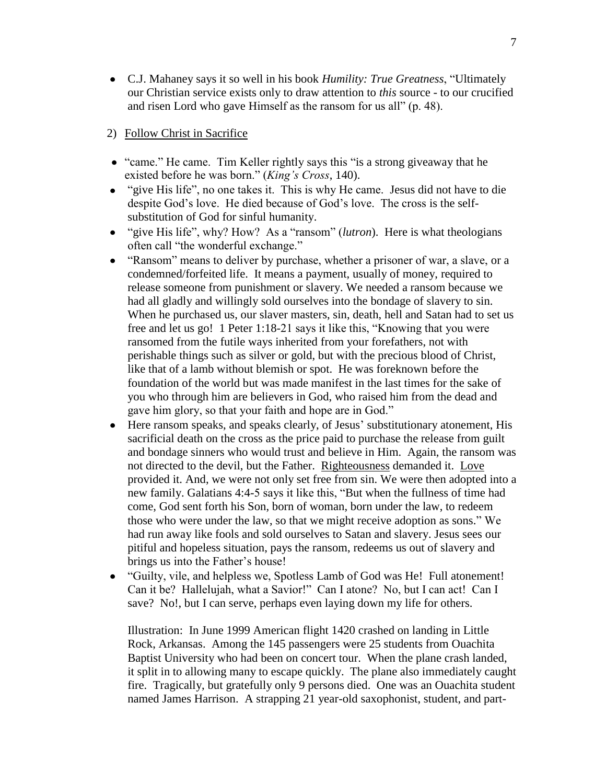C.J. Mahaney says it so well in his book *Humility: True Greatness*, "Ultimately our Christian service exists only to draw attention to *this* source - to our crucified and risen Lord who gave Himself as the ransom for us all" (p. 48).

## 2) Follow Christ in Sacrifice

- "came." He came. Tim Keller rightly says this "is a strong giveaway that he existed before he was born." (*King's Cross*, 140).
- "give His life", no one takes it. This is why He came. Jesus did not have to die despite God's love. He died because of God's love. The cross is the selfsubstitution of God for sinful humanity.
- "give His life", why? How? As a "ransom" (*lutron*). Here is what theologians often call "the wonderful exchange."
- "Ransom" means to deliver by purchase, whether a prisoner of war, a slave, or a condemned/forfeited life. It means a payment, usually of money, required to release someone from punishment or slavery. We needed a ransom because we had all gladly and willingly sold ourselves into the bondage of slavery to sin. When he purchased us, our slaver masters, sin, death, hell and Satan had to set us free and let us go! 1 Peter 1:18-21 says it like this, "Knowing that you were ransomed from the futile ways inherited from your forefathers, not with perishable things such as silver or gold, but with the precious blood of Christ, like that of a lamb without blemish or spot. He was foreknown before the foundation of the world but was made manifest in the last times for the sake of you who through him are believers in God, who raised him from the dead and gave him glory, so that your faith and hope are in God."
- Here ransom speaks, and speaks clearly, of Jesus' substitutionary atonement, His  $\bullet$ sacrificial death on the cross as the price paid to purchase the release from guilt and bondage sinners who would trust and believe in Him. Again, the ransom was not directed to the devil, but the Father. Righteousness demanded it. Love provided it. And, we were not only set free from sin. We were then adopted into a new family. Galatians 4:4-5 says it like this, "But when the fullness of time had come, God sent forth his Son, born of woman, born under the law, to redeem those who were under the law, so that we might receive adoption as sons." We had run away like fools and sold ourselves to Satan and slavery. Jesus sees our pitiful and hopeless situation, pays the ransom, redeems us out of slavery and brings us into the Father's house!
- "Guilty, vile, and helpless we, Spotless Lamb of God was He! Full atonement! Can it be? Hallelujah, what a Savior!" Can I atone? No, but I can act! Can I save? No!, but I can serve, perhaps even laying down my life for others.

Illustration: In June 1999 American flight 1420 crashed on landing in Little Rock, Arkansas. Among the 145 passengers were 25 students from Ouachita Baptist University who had been on concert tour. When the plane crash landed, it split in to allowing many to escape quickly. The plane also immediately caught fire. Tragically, but gratefully only 9 persons died. One was an Ouachita student named James Harrison. A strapping 21 year-old saxophonist, student, and part